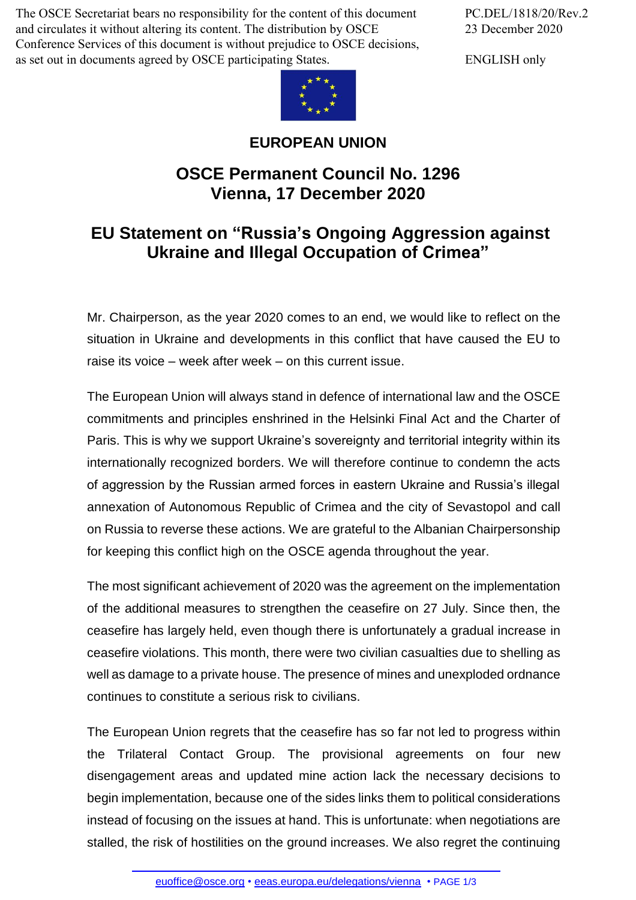The OSCE Secretariat bears no responsibility for the content of this document and circulates it without altering its content. The distribution by OSCE Conference Services of this document is without prejudice to OSCE decisions, as set out in documents agreed by OSCE participating States.



## **EUROPEAN UNION**

## **OSCE Permanent Council No. 1296 Vienna, 17 December 2020**

## **EU Statement on "Russia's Ongoing Aggression against Ukraine and Illegal Occupation of Crimea"**

Mr. Chairperson, as the year 2020 comes to an end, we would like to reflect on the situation in Ukraine and developments in this conflict that have caused the EU to raise its voice – week after week – on this current issue.

The European Union will always stand in defence of international law and the OSCE commitments and principles enshrined in the Helsinki Final Act and the Charter of Paris. This is why we support Ukraine's sovereignty and territorial integrity within its internationally recognized borders. We will therefore continue to condemn the acts of aggression by the Russian armed forces in eastern Ukraine and Russia's illegal annexation of Autonomous Republic of Crimea and the city of Sevastopol and call on Russia to reverse these actions. We are grateful to the Albanian Chairpersonship for keeping this conflict high on the OSCE agenda throughout the year.

The most significant achievement of 2020 was the agreement on the implementation of the additional measures to strengthen the ceasefire on 27 July. Since then, the ceasefire has largely held, even though there is unfortunately a gradual increase in ceasefire violations. This month, there were two civilian casualties due to shelling as well as damage to a private house. The presence of mines and unexploded ordnance continues to constitute a serious risk to civilians.

The European Union regrets that the ceasefire has so far not led to progress within the Trilateral Contact Group. The provisional agreements on four new disengagement areas and updated mine action lack the necessary decisions to begin implementation, because one of the sides links them to political considerations instead of focusing on the issues at hand. This is unfortunate: when negotiations are stalled, the [risk of hostilities](mailto:euoffice@osce.org) [on the ground increases. We al](http://eeas.europa.eu/delegations/vienna)so regret the continuing

PC.DEL/1818/20/Rev.2 23 December 2020

ENGLISH only

euoffice@osce.org • eeas.europa.eu/delegations/vienna • PAGE 1/3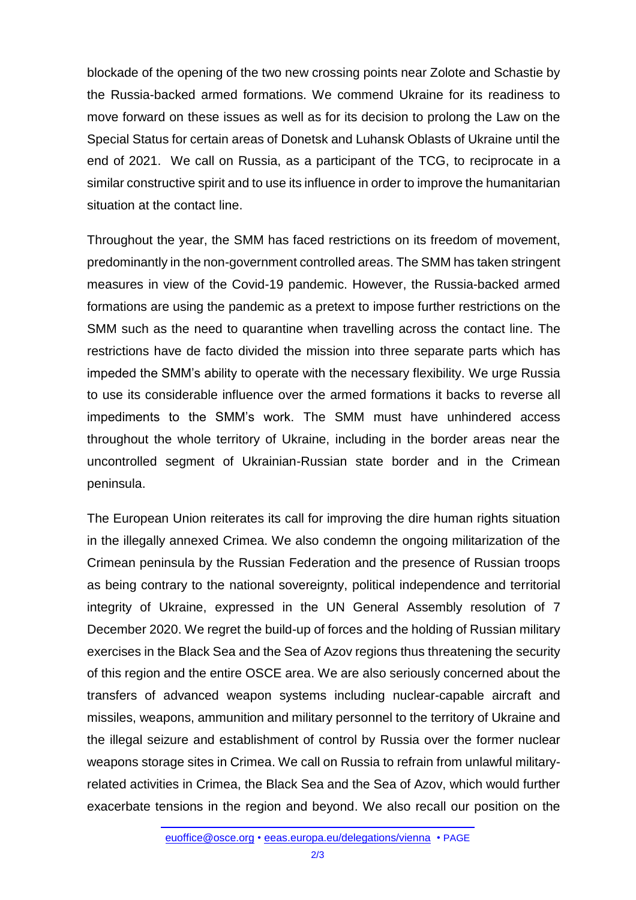blockade of the opening of the two new crossing points near Zolote and Schastie by the Russia-backed armed formations. We commend Ukraine for its readiness to move forward on these issues as well as for its decision to prolong the Law on the Special Status for certain areas of Donetsk and Luhansk Oblasts of Ukraine until the end of 2021. We call on Russia, as a participant of the TCG, to reciprocate in a similar constructive spirit and to use its influence in order to improve the humanitarian situation at the contact line.

Throughout the year, the SMM has faced restrictions on its freedom of movement, predominantly in the non-government controlled areas. The SMM has taken stringent measures in view of the Covid-19 pandemic. However, the Russia-backed armed formations are using the pandemic as a pretext to impose further restrictions on the SMM such as the need to quarantine when travelling across the contact line. The restrictions have de facto divided the mission into three separate parts which has impeded the SMM's ability to operate with the necessary flexibility. We urge Russia to use its considerable influence over the armed formations it backs to reverse all impediments to the SMM's work. The SMM must have unhindered access throughout the whole territory of Ukraine, including in the border areas near the uncontrolled segment of Ukrainian-Russian state border and in the Crimean peninsula.

The European Union reiterates its call for improving the dire human rights situation in the illegally annexed Crimea. We also condemn the ongoing militarization of the Crimean peninsula by the Russian Federation and the presence of Russian troops as being contrary to the national sovereignty, political independence and territorial integrity of Ukraine, expressed in the UN General Assembly resolution of 7 December 2020. We regret the build-up of forces and the holding of Russian military exercises in the Black Sea and the Sea of Azov regions thus threatening the security of this region and the entire OSCE area. We are also seriously concerned about the transfers of advanced weapon systems including nuclear-capable aircraft and missiles, weapons, ammunition and military personnel to the territory of Ukraine and the illegal seizure and establishment of control by Russia over the former nuclear weapons storage sites in Crimea. We call on Russia to refrain from unlawful militaryrelated activities in Crimea, the Black Sea and the Sea of Azov, which would further exacerbate tensions in the region and beyond. We also recall our position on the